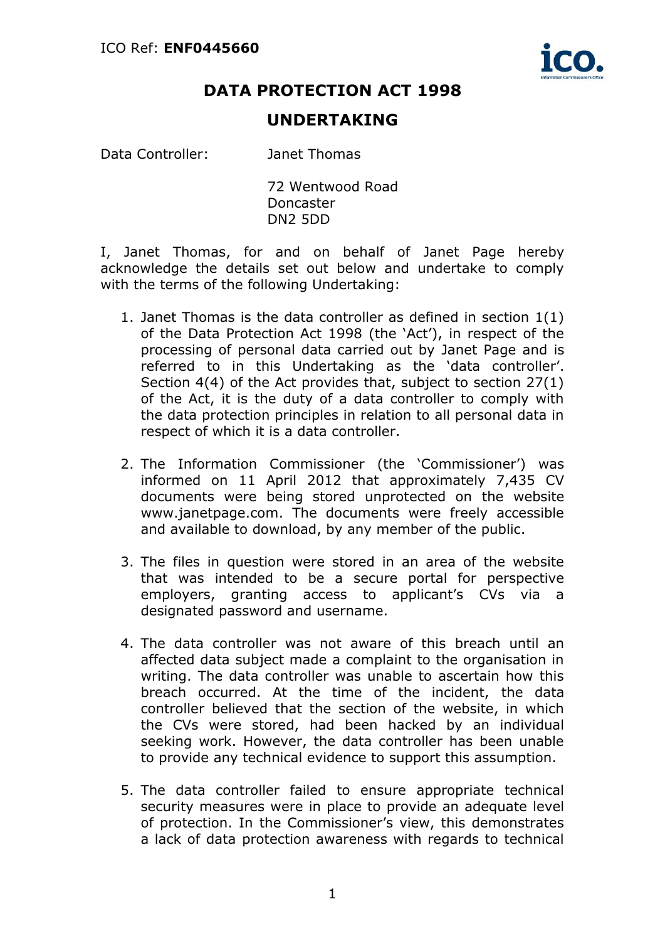## **DATA PROTECTION ACT 1998**

## **UNDERTAKING**

Data Controller: Janet Thomas

72 Wentwood Road Doncaster DN2 5DD

I, Janet Thomas, for and on behalf of Janet Page hereby acknowledge the details set out below and undertake to comply with the terms of the following Undertaking:

- 1. Janet Thomas is the data controller as defined in section 1(1) of the Data Protection Act 1998 (the 'Act'), in respect of the processing of personal data carried out by Janet Page and is referred to in this Undertaking as the 'data controller'. Section 4(4) of the Act provides that, subject to section 27(1) of the Act, it is the duty of a data controller to comply with the data protection principles in relation to all personal data in respect of which it is a data controller.
- 2. The Information Commissioner (the 'Commissioner') was informed on 11 April 2012 that approximately 7,435 CV documents were being stored unprotected on the website www.janetpage.com. The documents were freely accessible and available to download, by any member of the public.
- 3. The files in question were stored in an area of the website that was intended to be a secure portal for perspective employers, granting access to applicant's CVs via a designated password and username.
- 4. The data controller was not aware of this breach until an affected data subject made a complaint to the organisation in writing. The data controller was unable to ascertain how this breach occurred. At the time of the incident, the data controller believed that the section of the website, in which the CVs were stored, had been hacked by an individual seeking work. However, the data controller has been unable to provide any technical evidence to support this assumption.
- 5. The data controller failed to ensure appropriate technical security measures were in place to provide an adequate level of protection. In the Commissioner's view, this demonstrates a lack of data protection awareness with regards to technical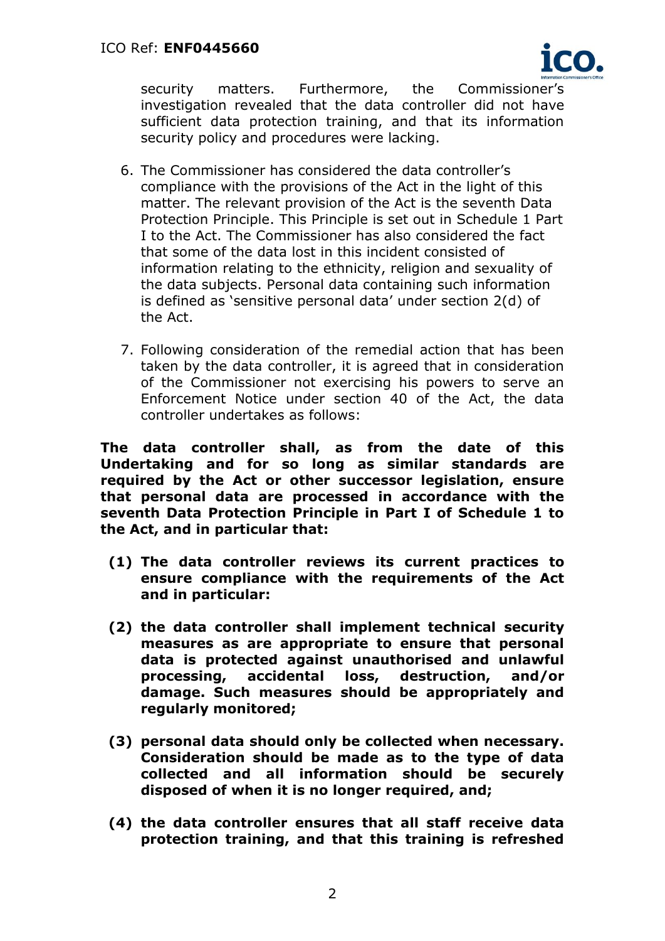

security matters. Furthermore, the Commissioner's investigation revealed that the data controller did not have sufficient data protection training, and that its information security policy and procedures were lacking.

- 6. The Commissioner has considered the data controller's compliance with the provisions of the Act in the light of this matter. The relevant provision of the Act is the seventh Data Protection Principle. This Principle is set out in Schedule 1 Part I to the Act. The Commissioner has also considered the fact that some of the data lost in this incident consisted of information relating to the ethnicity, religion and sexuality of the data subjects. Personal data containing such information is defined as 'sensitive personal data' under section 2(d) of the Act.
- 7. Following consideration of the remedial action that has been taken by the data controller, it is agreed that in consideration of the Commissioner not exercising his powers to serve an Enforcement Notice under section 40 of the Act, the data controller undertakes as follows:

**The data controller shall, as from the date of this Undertaking and for so long as similar standards are required by the Act or other successor legislation, ensure that personal data are processed in accordance with the seventh Data Protection Principle in Part I of Schedule 1 to the Act, and in particular that:**

- **(1) The data controller reviews its current practices to ensure compliance with the requirements of the Act and in particular:**
- **(2) the data controller shall implement technical security measures as are appropriate to ensure that personal data is protected against unauthorised and unlawful processing, accidental loss, destruction, and/or damage. Such measures should be appropriately and regularly monitored;**
- **(3) personal data should only be collected when necessary. Consideration should be made as to the type of data collected and all information should be securely disposed of when it is no longer required, and;**
- **(4) the data controller ensures that all staff receive data protection training, and that this training is refreshed**